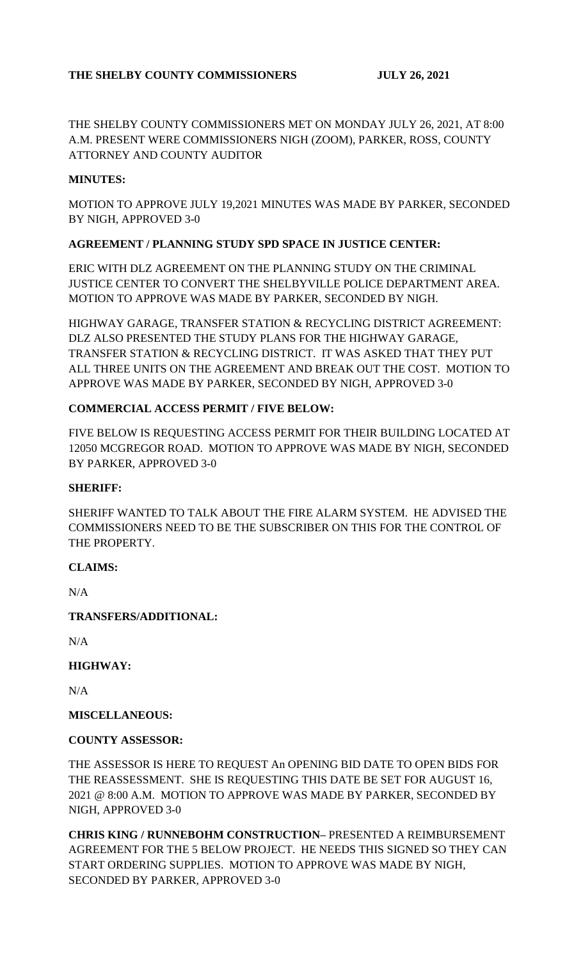# **THE SHELBY COUNTY COMMISSIONERS JULY 26, 2021**

THE SHELBY COUNTY COMMISSIONERS MET ON MONDAY JULY 26, 2021, AT 8:00 A.M. PRESENT WERE COMMISSIONERS NIGH (ZOOM), PARKER, ROSS, COUNTY ATTORNEY AND COUNTY AUDITOR

### **MINUTES:**

MOTION TO APPROVE JULY 19,2021 MINUTES WAS MADE BY PARKER, SECONDED BY NIGH, APPROVED 3-0

### **AGREEMENT / PLANNING STUDY SPD SPACE IN JUSTICE CENTER:**

ERIC WITH DLZ AGREEMENT ON THE PLANNING STUDY ON THE CRIMINAL JUSTICE CENTER TO CONVERT THE SHELBYVILLE POLICE DEPARTMENT AREA. MOTION TO APPROVE WAS MADE BY PARKER, SECONDED BY NIGH.

HIGHWAY GARAGE, TRANSFER STATION & RECYCLING DISTRICT AGREEMENT: DLZ ALSO PRESENTED THE STUDY PLANS FOR THE HIGHWAY GARAGE, TRANSFER STATION & RECYCLING DISTRICT. IT WAS ASKED THAT THEY PUT ALL THREE UNITS ON THE AGREEMENT AND BREAK OUT THE COST. MOTION TO APPROVE WAS MADE BY PARKER, SECONDED BY NIGH, APPROVED 3-0

## **COMMERCIAL ACCESS PERMIT / FIVE BELOW:**

FIVE BELOW IS REQUESTING ACCESS PERMIT FOR THEIR BUILDING LOCATED AT 12050 MCGREGOR ROAD. MOTION TO APPROVE WAS MADE BY NIGH, SECONDED BY PARKER, APPROVED 3-0

#### **SHERIFF:**

SHERIFF WANTED TO TALK ABOUT THE FIRE ALARM SYSTEM. HE ADVISED THE COMMISSIONERS NEED TO BE THE SUBSCRIBER ON THIS FOR THE CONTROL OF THE PROPERTY.

#### **CLAIMS:**

N/A

## **TRANSFERS/ADDITIONAL:**

N/A

**HIGHWAY:**

N/A

**MISCELLANEOUS:**

#### **COUNTY ASSESSOR:**

THE ASSESSOR IS HERE TO REQUEST An OPENING BID DATE TO OPEN BIDS FOR THE REASSESSMENT. SHE IS REQUESTING THIS DATE BE SET FOR AUGUST 16, 2021 @ 8:00 A.M. MOTION TO APPROVE WAS MADE BY PARKER, SECONDED BY NIGH, APPROVED 3-0

**CHRIS KING / RUNNEBOHM CONSTRUCTION–** PRESENTED A REIMBURSEMENT AGREEMENT FOR THE 5 BELOW PROJECT. HE NEEDS THIS SIGNED SO THEY CAN START ORDERING SUPPLIES. MOTION TO APPROVE WAS MADE BY NIGH, SECONDED BY PARKER, APPROVED 3-0